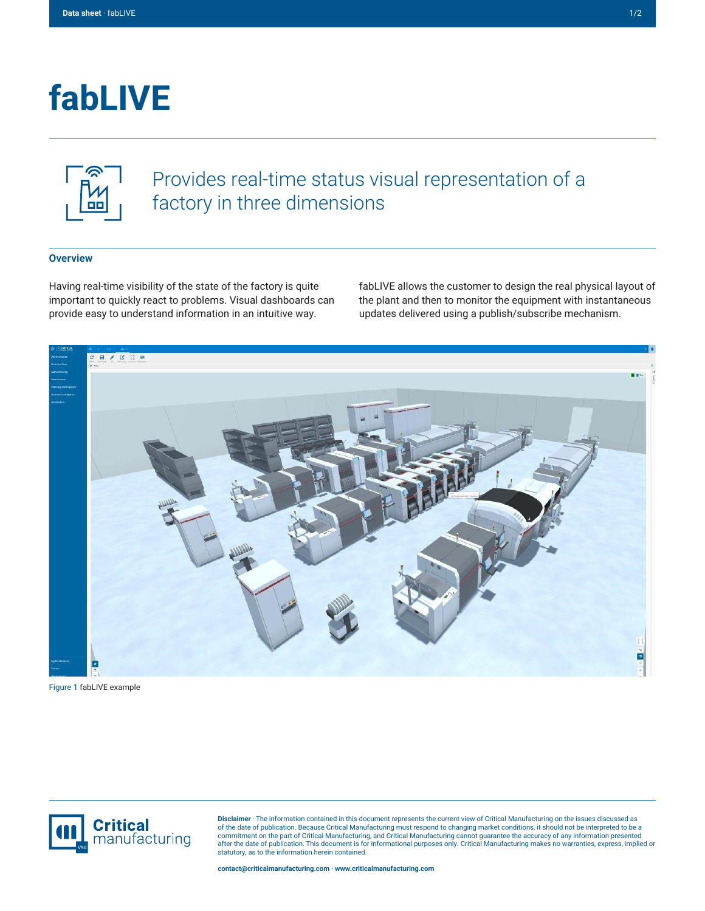# **fabLIVE**



## Provides real-time status visual representation of a factory in three dimensions

#### **Overview**

Having real-time visibility of the state of the factory is quite important to quickly react to problems. Visual dashboards can provide easy to understand information in an intuitive way.

fabLIVE allows the customer to design the real physical layout of the plant and then to monitor the equipment with instantaneous updates delivered using a publish/subscribe mechanism.



Figure 1 fabLIVE example



**Disclaimer** · The information contained in this document represents the current view of Critical Manufacturing on the issues discussed as of the date of publication. Because Critical Manufacturing must respond to changing market conditions, it should not be interpreted to be a<br>commitment on the part of Critical Manufacturing, and Critical Manufacturing canno statutory, as to the information herein contained.